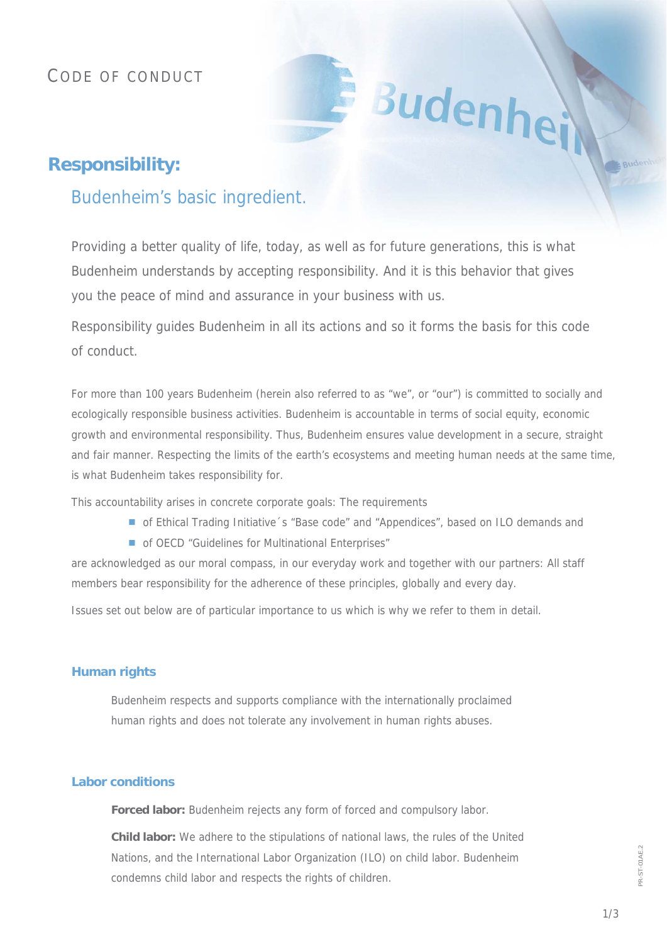# CODE OF CONDUCT

# **Responsibility:**

# Budenheim's basic ingredient.

Providing a better quality of life, today, as well as for future generations, this is what Budenheim understands by accepting responsibility. And it is this behavior that gives you the peace of mind and assurance in your business with us.

Budenhei

Responsibility guides Budenheim in all its actions and so it forms the basis for this code of conduct.

For more than 100 years Budenheim (herein also referred to as "we", or "our") is committed to socially and ecologically responsible business activities. Budenheim is accountable in terms of social equity, economic growth and environmental responsibility. Thus, Budenheim ensures value development in a secure, straight and fair manner. Respecting the limits of the earth's ecosystems and meeting human needs at the same time, is what Budenheim takes responsibility for.

This accountability arises in concrete corporate goals: The requirements

- of Ethical Trading Initiative 's "Base code" and "Appendices", based on ILO demands and
- of OECD "Guidelines for Multinational Enterprises"

are acknowledged as our moral compass, in our everyday work and together with our partners: All staff members bear responsibility for the adherence of these principles, globally and every day.

Issues set out below are of particular importance to us which is why we refer to them in detail.

## **Human rights**

Budenheim respects and supports compliance with the internationally proclaimed human rights and does not tolerate any involvement in human rights abuses.

## **Labor conditions**

**Forced labor:** Budenheim rejects any form of forced and compulsory labor.

**Child labor:** We adhere to the stipulations of national laws, the rules of the United Nations, and the International Labor Organization (ILO) on child labor. Budenheim condemns child labor and respects the rights of children.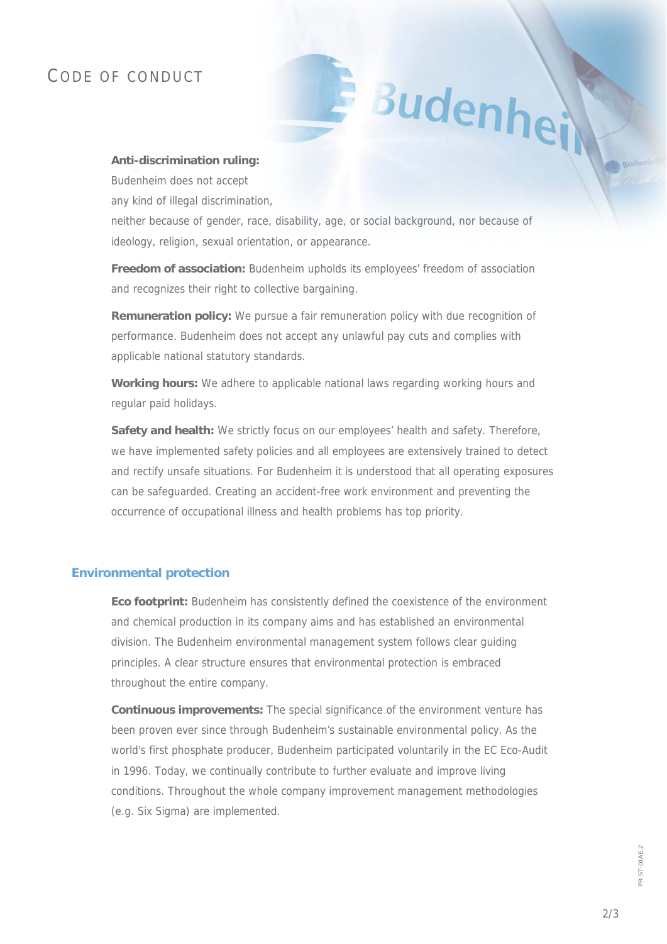## CODE OF CONDUCT

#### **Anti-discrimination ruling:**

Budenheim does not accept

any kind of illegal discrimination,

neither because of gender, race, disability, age, or social background, nor because of ideology, religion, sexual orientation, or appearance.

Budenhe

**Freedom of association:** Budenheim upholds its employees' freedom of association and recognizes their right to collective bargaining.

**Remuneration policy:** We pursue a fair remuneration policy with due recognition of performance. Budenheim does not accept any unlawful pay cuts and complies with applicable national statutory standards.

**Working hours:** We adhere to applicable national laws regarding working hours and regular paid holidays.

**Safety and health:** We strictly focus on our employees' health and safety. Therefore, we have implemented safety policies and all employees are extensively trained to detect and rectify unsafe situations. For Budenheim it is understood that all operating exposures can be safeguarded. Creating an accident-free work environment and preventing the occurrence of occupational illness and health problems has top priority.

### **Environmental protection**

**Eco footprint:** Budenheim has consistently defined the coexistence of the environment and chemical production in its company aims and has established an environmental division. The Budenheim environmental management system follows clear guiding principles. A clear structure ensures that environmental protection is embraced throughout the entire company.

**Continuous improvements:** The special significance of the environment venture has been proven ever since through Budenheim's sustainable environmental policy. As the world's first phosphate producer, Budenheim participated voluntarily in the EC Eco-Audit in 1996. Today, we continually contribute to further evaluate and improve living conditions. Throughout the whole company improvement management methodologies (e.g. Six Sigma) are implemented.